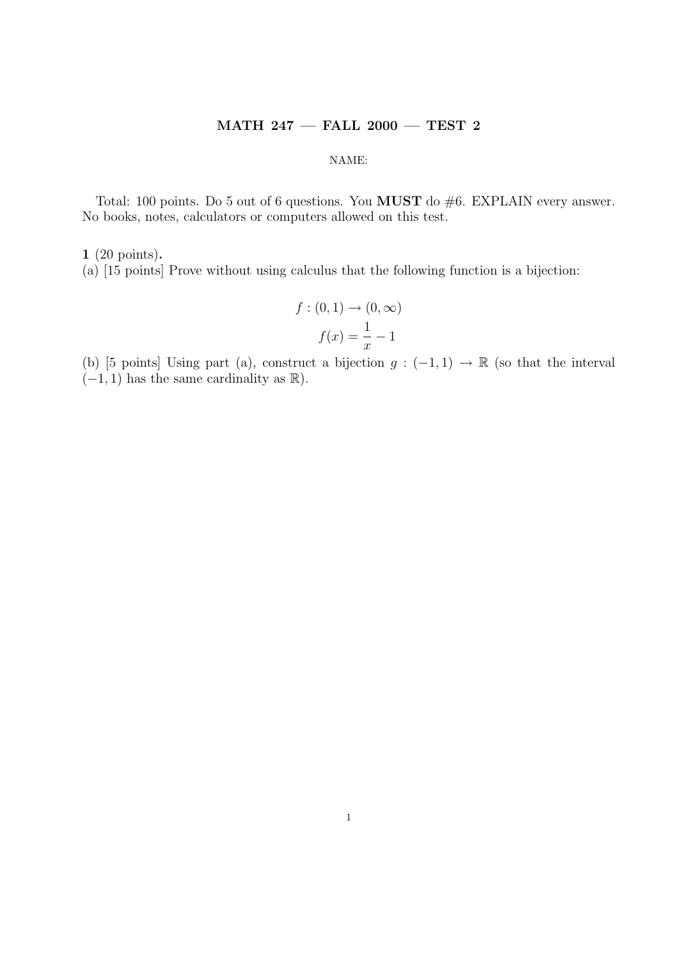## MATH 247 — FALL 2000 — TEST 2

## NAME:

Total: 100 points. Do 5 out of 6 questions. You **MUST** do #6. EXPLAIN every answer. No books, notes, calculators or computers allowed on this test.

## 1 (20 points).

(a) [15 points] Prove without using calculus that the following function is a bijection:

$$
f: (0,1) \to (0,\infty)
$$

$$
f(x) = \frac{1}{x} - 1
$$

(b) [5 points] Using part (a), construct a bijection  $g: (-1,1) \to \mathbb{R}$  (so that the interval  $(-1, 1)$  has the same cardinality as  $\mathbb{R}$ ).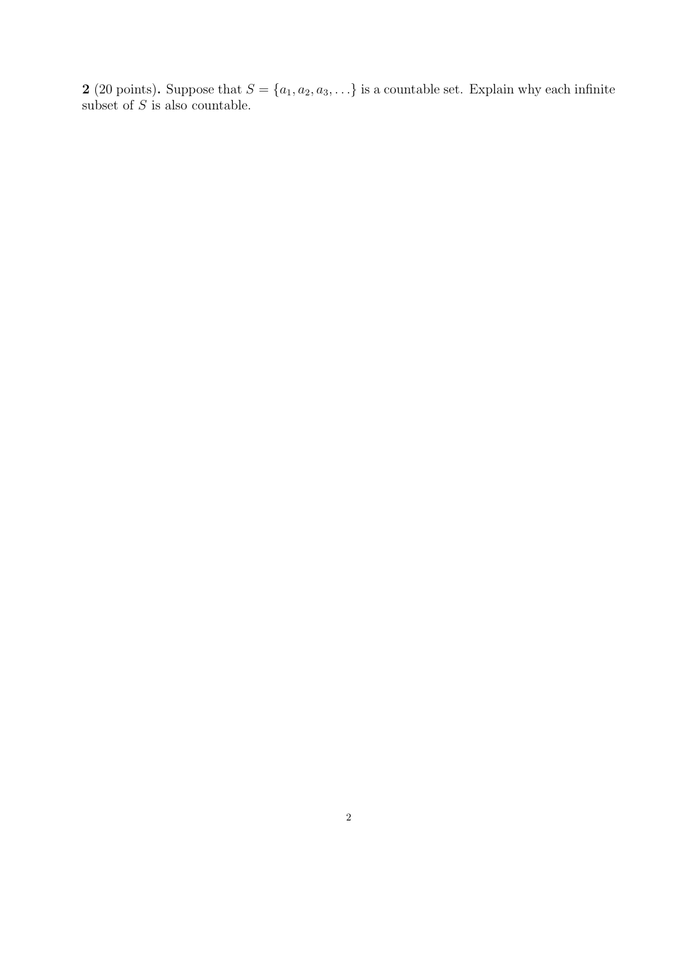2 (20 points). Suppose that  $S = \{a_1, a_2, a_3, \ldots\}$  is a countable set. Explain why each infinite subset of  $S$  is also countable.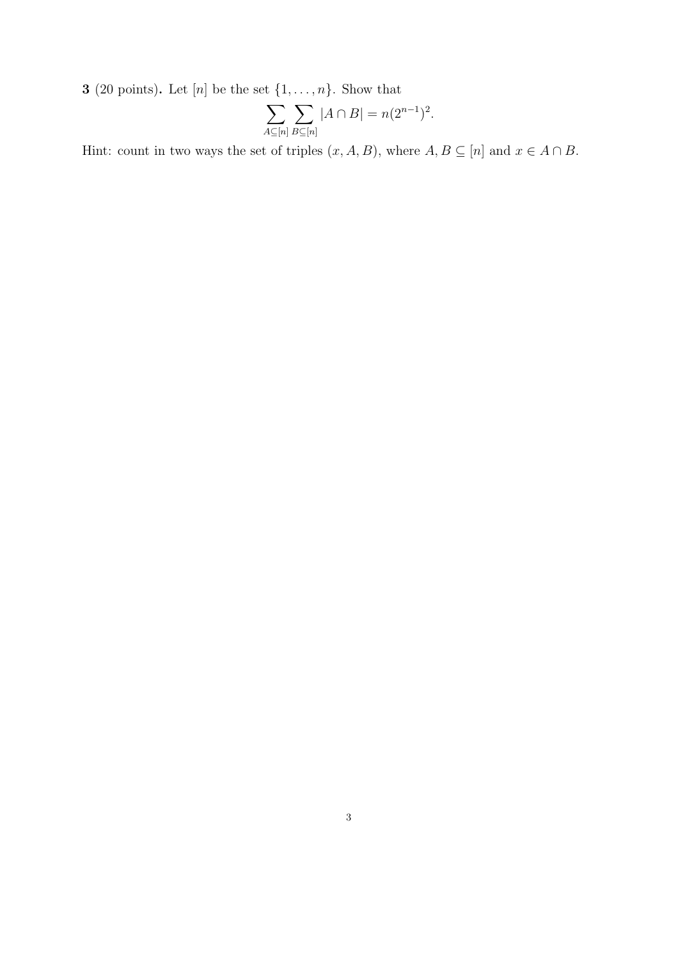**3** (20 points). Let [n] be the set  $\{1, \ldots, n\}$ . Show that

$$
\sum_{A\subseteq[n]} \sum_{B\subseteq[n]} |A \cap B| = n(2^{n-1})^2.
$$

Hint: count in two ways the set of triples  $(x, A, B)$ , where  $A, B \subseteq [n]$  and  $x \in A \cap B$ .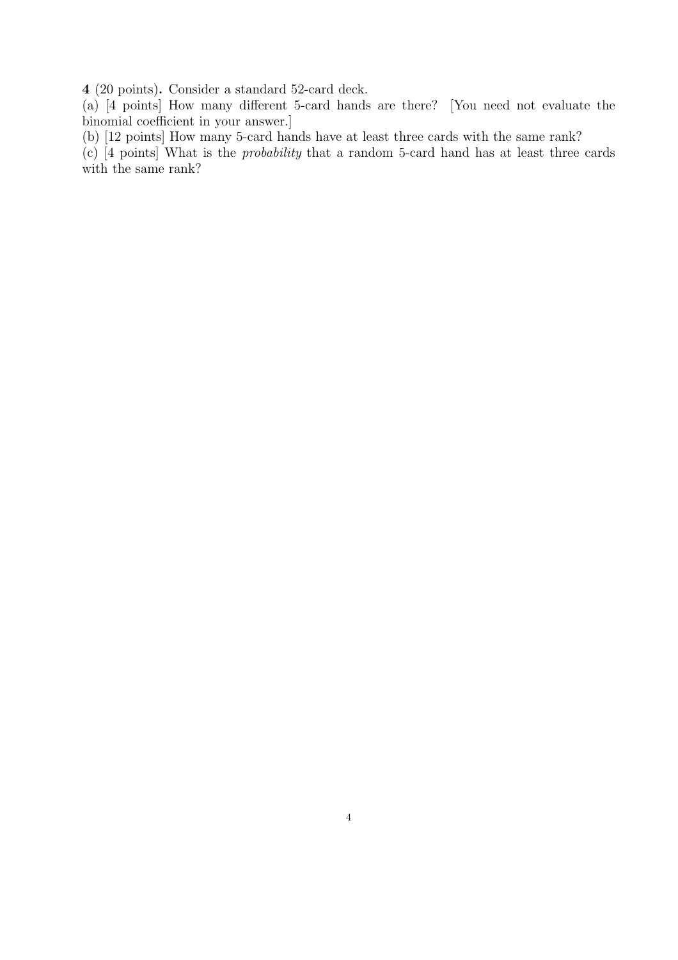4 (20 points). Consider a standard 52-card deck.

(a) [4 points] How many different 5-card hands are there? [You need not evaluate the binomial coefficient in your answer.]

(b) [12 points] How many 5-card hands have at least three cards with the same rank?

(c) [4 points] What is the probability that a random 5-card hand has at least three cards with the same rank?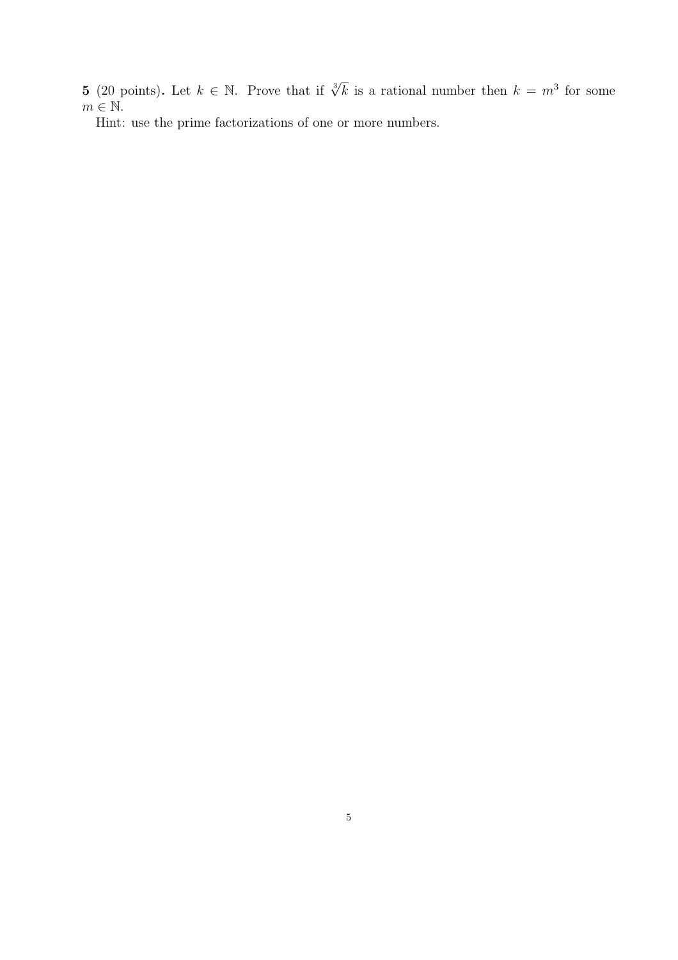**5** (20 points). Let  $k \in \mathbb{N}$ . Prove that if  $\sqrt[3]{k}$  is a rational number then  $k = m^3$  for some  $m\in\mathbb{N}.$ 

Hint: use the prime factorizations of one or more numbers.